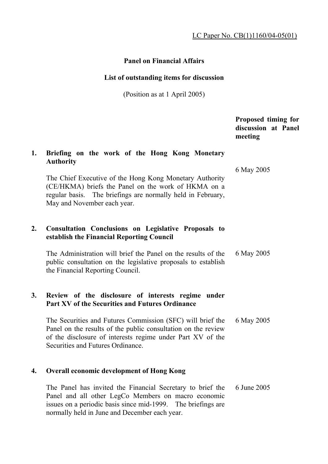## **Panel on Financial Affairs**

## **List of outstanding items for discussion**

(Position as at 1 April 2005)

|    |                                                                                                                                                                                                                                                                                                                                                | Proposed timing for<br>discussion at Panel<br>meeting |
|----|------------------------------------------------------------------------------------------------------------------------------------------------------------------------------------------------------------------------------------------------------------------------------------------------------------------------------------------------|-------------------------------------------------------|
| 1. | Briefing on the work of the Hong Kong Monetary<br><b>Authority</b><br>The Chief Executive of the Hong Kong Monetary Authority<br>(CE/HKMA) briefs the Panel on the work of HKMA on a<br>regular basis. The briefings are normally held in February,<br>May and November each year.                                                             | 6 May 2005                                            |
| 2. | <b>Consultation Conclusions on Legislative Proposals to</b><br>establish the Financial Reporting Council<br>The Administration will brief the Panel on the results of the<br>public consultation on the legislative proposals to establish<br>the Financial Reporting Council.                                                                 | 6 May 2005                                            |
| 3. | Review of the disclosure of interests regime under<br><b>Part XV of the Securities and Futures Ordinance</b><br>The Securities and Futures Commission (SFC) will brief the<br>Panel on the results of the public consultation on the review<br>of the disclosure of interests regime under Part XV of the<br>Securities and Futures Ordinance. | 6 May 2005                                            |
| 4. | <b>Overall economic development of Hong Kong</b><br>The Panel has invited the Financial Secretary to brief the<br>Panel and all other LegCo Members on macro economic<br>issues on a periodic basis since mid-1999. The briefings are<br>normally held in June and December each year.                                                         | 6 June 2005                                           |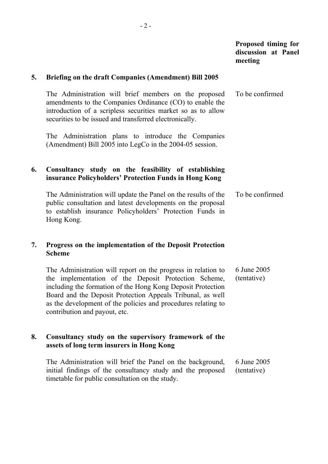|    |                                                                                                                                                                                                                                                                                                                                                      | Proposed timing for<br>discussion at Panel<br>meeting |
|----|------------------------------------------------------------------------------------------------------------------------------------------------------------------------------------------------------------------------------------------------------------------------------------------------------------------------------------------------------|-------------------------------------------------------|
| 5. | <b>Briefing on the draft Companies (Amendment) Bill 2005</b>                                                                                                                                                                                                                                                                                         |                                                       |
|    | The Administration will brief members on the proposed<br>amendments to the Companies Ordinance (CO) to enable the<br>introduction of a scripless securities market so as to allow<br>securities to be issued and transferred electronically.                                                                                                         | To be confirmed                                       |
|    | The Administration plans to introduce the Companies<br>(Amendment) Bill 2005 into LegCo in the 2004-05 session.                                                                                                                                                                                                                                      |                                                       |
| 6. | Consultancy study on the feasibility of establishing<br>insurance Policyholders' Protection Funds in Hong Kong                                                                                                                                                                                                                                       |                                                       |
|    | The Administration will update the Panel on the results of the<br>public consultation and latest developments on the proposal<br>to establish insurance Policyholders' Protection Funds in<br>Hong Kong.                                                                                                                                             | To be confirmed                                       |
| 7. | Progress on the implementation of the Deposit Protection<br><b>Scheme</b>                                                                                                                                                                                                                                                                            |                                                       |
|    | The Administration will report on the progress in relation to<br>the implementation of the Deposit Protection Scheme,<br>including the formation of the Hong Kong Deposit Protection<br>Board and the Deposit Protection Appeals Tribunal, as well<br>as the development of the policies and procedures relating to<br>contribution and payout, etc. | 6 June 2005<br>(tentative)                            |
| 8. | Consultancy study on the supervisory framework of the<br>assets of long term insurers in Hong Kong                                                                                                                                                                                                                                                   |                                                       |
|    | The Administration will brief the Panel on the background,<br>initial findings of the consultancy study and the proposed<br>timetable for public consultation on the study.                                                                                                                                                                          | 6 June 2005<br>(tentative)                            |

- 2 -